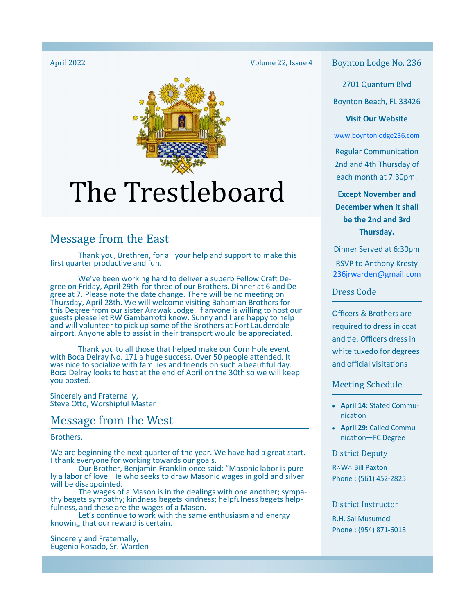

# The Trestleboard

## Message from the East

 Thank you, Brethren, for all your help and support to make this first quarter productive and fun.

We've been working hard to deliver a superb Fellow Craft Degree on Friday, April 29th for three of our Brothers. Dinner at 6 and Degree at 7. Please note the date change. There will be no meeting on Thursday, April 28th. We will welcome visiting Bahamian Brothers for this Degree from our sister Arawak Lodge. If anyone is willing to host our guests please let RW Gambarrotti know. Sunny and I are happy to help and will volunteer to pick up some of the Brothers at Fort Lauderdale airport. Anyone able to assist in their transport would be appreciated.

 Thank you to all those that helped make our Corn Hole event with Boca Delray No. 171 a huge success. Over 50 people attended. It was nice to socialize with families and friends on such a beautiful day. Boca Delray looks to host at the end of April on the 30th so we will keep you posted.

Sincerely and Fraternally, Steve Otto, Worshipful Master

## Message from the West

Brothers,

We are beginning the next quarter of the year. We have had a great start. I thank everyone for working towards our goals.

 Our Brother, Benjamin Franklin once said: "Masonic labor is purely a labor of love. He who seeks to draw Masonic wages in gold and silver will be disappointed.

The wages of a Mason is in the dealings with one another; sympathy begets sympathy; kindness begets kindness; helpfulness begets helpfulness, and these are the wages of a Mason.

Let's continue to work with the same enthusiasm and energy knowing that our reward is certain.

Sincerely and Fraternally, Eugenio Rosado, Sr. Warden Volume 22, Issue 4

April 2022 **Boynton Lodge No. 236** Boynton Lodge No. 236

2701 Quantum Blvd

Boynton Beach, FL 33426

#### **Visit Our Website**

www.boyntonlodge236.com

**Regular Communication** 2nd and 4th Thursday of each month at 7:30pm.

**Except November and December when it shall be the 2nd and 3rd Thursday.** 

Dinner Served at 6:30pm RSVP to Anthony Kresty 236jrwarden@gmail.com

Dress Code

Officers & Brothers are required to dress in coat and tie. Officers dress in white tuxedo for degrees and official visitations

#### Meeting Schedule

- **April 14:** Stated Communication
- **April 29:** Called Communication-FC Degree

District Deputy

R∴W∴ Bill Paxton Phone : (561) 452-2825

#### District Instructor

R.H. Sal Musumeci Phone : (954) 871-6018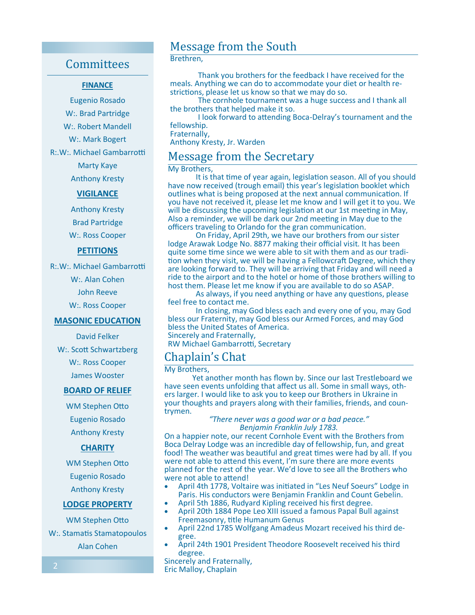## **Committees**

#### **FINANCE**

Eugenio Rosado W:. Brad Partridge W:. Robert Mandell W:. Mark Bogert

R:.W:. Michael Gambarrotti

Marty Kaye Anthony Kresty

#### **VIGILANCE**

Anthony Kresty Brad Partridge W:. Ross Cooper

#### **PETITIONS**

R:.W:. Michael Gambarrotti

W:. Alan Cohen

John Reeve

W:. Ross Cooper

#### **MASONIC EDUCATION**

David Felker

W:. Scott Schwartzberg

W:. Ross Cooper James Wooster

#### **BOARD OF RELIEF**

WM Stephen Otto Eugenio Rosado Anthony Kresty

#### **CHARITY**

WM Stephen Otto Eugenio Rosado Anthony Kresty

#### **LODGE PROPERTY**

WM Stephen Otto

W:. Stamatis Stamatopoulos Alan Cohen

## Message from the South

#### Brethren,

 Thank you brothers for the feedback I have received for the meals. Anything we can do to accommodate your diet or health restrictions, please let us know so that we may do so.

 The cornhole tournament was a huge success and I thank all the brothers that helped make it so.

I look forward to attending Boca-Delray's tournament and the fellowship.

Fraternally,

Anthony Kresty, Jr. Warden

## Message from the Secretary

#### My Brothers,

It is that time of year again, legislation season. All of you should have now received (trough email) this year's legislation booklet which outlines what is being proposed at the next annual communication. If you have not received it, please let me know and I will get it to you. We will be discussing the upcoming legislation at our 1st meeting in May, Also a reminder, we will be dark our 2nd meeting in May due to the officers traveling to Orlando for the gran communication.

 On Friday, April 29th, we have our brothers from our sister lodge Arawak Lodge No. 8877 making their official visit. It has been quite some time since we were able to sit with them and as our tradition when they visit, we will be having a Fellowcraft Degree, which they are looking forward to. They will be arriving that Friday and will need a ride to the airport and to the hotel or home of those brothers willing to host them. Please let me know if you are available to do so ASAP.

As always, if you need anything or have any questions, please feel free to contact me.

 In closing, may God bless each and every one of you, may God bless our Fraternity, may God bless our Armed Forces, and may God bless the United States of America. Sincerely and Fraternally, RW Michael Gambarrotti, Secretary

## Chaplain's Chat

My Brothers,

 Yet another month has flown by. Since our last Trestleboard we have seen events unfolding that affect us all. Some in small ways, others larger. I would like to ask you to keep our Brothers in Ukraine in your thoughts and prayers along with their families, friends, and countrymen.

#### *"There never was a good war or a bad peace." Benjamin Franklin July 1783.*

On a happier note, our recent Cornhole Event with the Brothers from Boca Delray Lodge was an incredible day of fellowship, fun, and great food! The weather was beautiful and great times were had by all. If you were not able to attend this event, I'm sure there are more events planned for the rest of the year. We'd love to see all the Brothers who were not able to attend!

- April 4th 1778, Voltaire was initiated in "Les Neuf Soeurs" Lodge in Paris. His conductors were Benjamin Franklin and Count Gebelin.
- April 5th 1886, Rudyard Kipling received his first degree.
- April 20th 1884 Pope Leo XIII issued a famous Papal Bull against Freemasonry, title Humanum Genus
- April 22nd 1785 Wolfgang Amadeus Mozart received his third degree.
- April 24th 1901 President Theodore Roosevelt received his third degree.

Sincerely and Fraternally, Eric Malloy, Chaplain